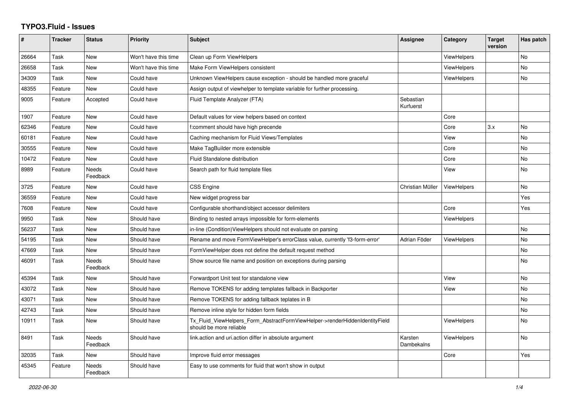## **TYPO3.Fluid - Issues**

| #     | <b>Tracker</b> | <b>Status</b>            | <b>Priority</b>      | <b>Subject</b>                                                                                         | Assignee               | Category           | <b>Target</b><br>version | Has patch |
|-------|----------------|--------------------------|----------------------|--------------------------------------------------------------------------------------------------------|------------------------|--------------------|--------------------------|-----------|
| 26664 | Task           | <b>New</b>               | Won't have this time | Clean up Form ViewHelpers                                                                              |                        | <b>ViewHelpers</b> |                          | <b>No</b> |
| 26658 | Task           | New                      | Won't have this time | Make Form ViewHelpers consistent                                                                       |                        | <b>ViewHelpers</b> |                          | <b>No</b> |
| 34309 | Task           | New                      | Could have           | Unknown ViewHelpers cause exception - should be handled more graceful                                  |                        | <b>ViewHelpers</b> |                          | No        |
| 48355 | Feature        | <b>New</b>               | Could have           | Assign output of viewhelper to template variable for further processing.                               |                        |                    |                          |           |
| 9005  | Feature        | Accepted                 | Could have           | Fluid Template Analyzer (FTA)                                                                          | Sebastian<br>Kurfuerst |                    |                          |           |
| 1907  | Feature        | <b>New</b>               | Could have           | Default values for view helpers based on context                                                       |                        | Core               |                          |           |
| 62346 | Feature        | <b>New</b>               | Could have           | f:comment should have high precende                                                                    |                        | Core               | 3.x                      | <b>No</b> |
| 60181 | Feature        | New                      | Could have           | Caching mechanism for Fluid Views/Templates                                                            |                        | View               |                          | No        |
| 30555 | Feature        | New                      | Could have           | Make TagBuilder more extensible                                                                        |                        | Core               |                          | No        |
| 10472 | Feature        | <b>New</b>               | Could have           | <b>Fluid Standalone distribution</b>                                                                   |                        | Core               |                          | <b>No</b> |
| 8989  | Feature        | Needs<br>Feedback        | Could have           | Search path for fluid template files                                                                   |                        | View               |                          | <b>No</b> |
| 3725  | Feature        | New                      | Could have           | <b>CSS Engine</b>                                                                                      | Christian Müller       | <b>ViewHelpers</b> |                          | No        |
| 36559 | Feature        | <b>New</b>               | Could have           | New widget progress bar                                                                                |                        |                    |                          | Yes       |
| 7608  | Feature        | New                      | Could have           | Configurable shorthand/object accessor delimiters                                                      |                        | Core               |                          | Yes       |
| 9950  | Task           | New                      | Should have          | Binding to nested arrays impossible for form-elements                                                  |                        | ViewHelpers        |                          |           |
| 56237 | Task           | New                      | Should have          | in-line (Condition) View Helpers should not evaluate on parsing                                        |                        |                    |                          | No        |
| 54195 | Task           | New                      | Should have          | Rename and move FormViewHelper's errorClass value, currently 'f3-form-error'                           | Adrian Föder           | <b>ViewHelpers</b> |                          | No        |
| 47669 | Task           | New                      | Should have          | FormViewHelper does not define the default request method                                              |                        |                    |                          | <b>No</b> |
| 46091 | Task           | <b>Needs</b><br>Feedback | Should have          | Show source file name and position on exceptions during parsing                                        |                        |                    |                          | <b>No</b> |
| 45394 | Task           | New                      | Should have          | Forwardport Unit test for standalone view                                                              |                        | View               |                          | No        |
| 43072 | Task           | New                      | Should have          | Remove TOKENS for adding templates fallback in Backporter                                              |                        | View               |                          | No        |
| 43071 | Task           | New                      | Should have          | Remove TOKENS for adding fallback teplates in B                                                        |                        |                    |                          | <b>No</b> |
| 42743 | Task           | New                      | Should have          | Remove inline style for hidden form fields                                                             |                        |                    |                          | No        |
| 10911 | Task           | New                      | Should have          | Tx_Fluid_ViewHelpers_Form_AbstractFormViewHelper->renderHiddenIdentityField<br>should be more reliable |                        | <b>ViewHelpers</b> |                          | No        |
| 8491  | Task           | <b>Needs</b><br>Feedback | Should have          | link.action and uri.action differ in absolute argument                                                 | Karsten<br>Dambekalns  | ViewHelpers        |                          | <b>No</b> |
| 32035 | Task           | New                      | Should have          | Improve fluid error messages                                                                           |                        | Core               |                          | Yes       |
| 45345 | Feature        | Needs<br>Feedback        | Should have          | Easy to use comments for fluid that won't show in output                                               |                        |                    |                          |           |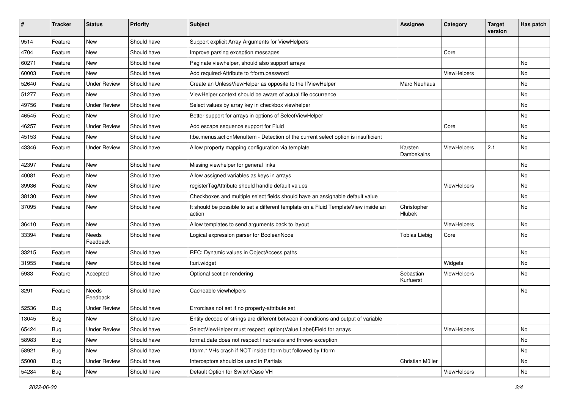| #     | <b>Tracker</b> | <b>Status</b>       | <b>Priority</b> | Subject                                                                                       | <b>Assignee</b>        | Category    | <b>Target</b><br>version | Has patch |
|-------|----------------|---------------------|-----------------|-----------------------------------------------------------------------------------------------|------------------------|-------------|--------------------------|-----------|
| 9514  | Feature        | New                 | Should have     | Support explicit Array Arguments for ViewHelpers                                              |                        |             |                          |           |
| 4704  | Feature        | New                 | Should have     | Improve parsing exception messages                                                            |                        | Core        |                          |           |
| 60271 | Feature        | New                 | Should have     | Paginate viewhelper, should also support arrays                                               |                        |             |                          | No        |
| 60003 | Feature        | <b>New</b>          | Should have     | Add required-Attribute to f:form.password                                                     |                        | ViewHelpers |                          | No        |
| 52640 | Feature        | <b>Under Review</b> | Should have     | Create an UnlessViewHelper as opposite to the IfViewHelper                                    | Marc Neuhaus           |             |                          | No        |
| 51277 | Feature        | New                 | Should have     | ViewHelper context should be aware of actual file occurrence                                  |                        |             |                          | No        |
| 49756 | Feature        | <b>Under Review</b> | Should have     | Select values by array key in checkbox viewhelper                                             |                        |             |                          | No        |
| 46545 | Feature        | New                 | Should have     | Better support for arrays in options of SelectViewHelper                                      |                        |             |                          | No        |
| 46257 | Feature        | <b>Under Review</b> | Should have     | Add escape sequence support for Fluid                                                         |                        | Core        |                          | No        |
| 45153 | Feature        | New                 | Should have     | f:be.menus.actionMenuItem - Detection of the current select option is insufficient            |                        |             |                          | No        |
| 43346 | Feature        | <b>Under Review</b> | Should have     | Allow property mapping configuration via template                                             | Karsten<br>Dambekalns  | ViewHelpers | 2.1                      | No        |
| 42397 | Feature        | New                 | Should have     | Missing viewhelper for general links                                                          |                        |             |                          | No        |
| 40081 | Feature        | New                 | Should have     | Allow assigned variables as keys in arrays                                                    |                        |             |                          | No        |
| 39936 | Feature        | New                 | Should have     | registerTagAttribute should handle default values                                             |                        | ViewHelpers |                          | No        |
| 38130 | Feature        | New                 | Should have     | Checkboxes and multiple select fields should have an assignable default value                 |                        |             |                          | No        |
| 37095 | Feature        | New                 | Should have     | It should be possible to set a different template on a Fluid TemplateView inside an<br>action | Christopher<br>Hlubek  |             |                          | No        |
| 36410 | Feature        | <b>New</b>          | Should have     | Allow templates to send arguments back to layout                                              |                        | ViewHelpers |                          | No.       |
| 33394 | Feature        | Needs<br>Feedback   | Should have     | Logical expression parser for BooleanNode                                                     | <b>Tobias Liebig</b>   | Core        |                          | No        |
| 33215 | Feature        | New                 | Should have     | RFC: Dynamic values in ObjectAccess paths                                                     |                        |             |                          | No        |
| 31955 | Feature        | New                 | Should have     | f:uri.widget                                                                                  |                        | Widgets     |                          | No        |
| 5933  | Feature        | Accepted            | Should have     | Optional section rendering                                                                    | Sebastian<br>Kurfuerst | ViewHelpers |                          | No        |
| 3291  | Feature        | Needs<br>Feedback   | Should have     | Cacheable viewhelpers                                                                         |                        |             |                          | No        |
| 52536 | Bug            | <b>Under Review</b> | Should have     | Errorclass not set if no property-attribute set                                               |                        |             |                          |           |
| 13045 | Bug            | New                 | Should have     | Entity decode of strings are different between if-conditions and output of variable           |                        |             |                          |           |
| 65424 | <b>Bug</b>     | <b>Under Review</b> | Should have     | SelectViewHelper must respect option(Value Label)Field for arrays                             |                        | ViewHelpers |                          | No        |
| 58983 | Bug            | New                 | Should have     | format.date does not respect linebreaks and throws exception                                  |                        |             |                          | No        |
| 58921 | <b>Bug</b>     | New                 | Should have     | f:form.* VHs crash if NOT inside f:form but followed by f:form                                |                        |             |                          | No        |
| 55008 | <b>Bug</b>     | <b>Under Review</b> | Should have     | Interceptors should be used in Partials                                                       | Christian Müller       |             |                          | No        |
| 54284 | Bug            | New                 | Should have     | Default Option for Switch/Case VH                                                             |                        | ViewHelpers |                          | No        |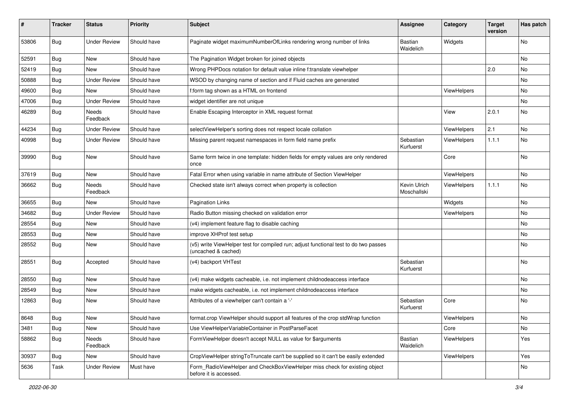| ∦     | <b>Tracker</b> | <b>Status</b>       | <b>Priority</b> | Subject                                                                                                     | <b>Assignee</b>             | Category           | <b>Target</b><br>version | Has patch |
|-------|----------------|---------------------|-----------------|-------------------------------------------------------------------------------------------------------------|-----------------------------|--------------------|--------------------------|-----------|
| 53806 | Bug            | <b>Under Review</b> | Should have     | Paginate widget maximumNumberOfLinks rendering wrong number of links                                        | Bastian<br>Waidelich        | Widgets            |                          | <b>No</b> |
| 52591 | Bug            | New                 | Should have     | The Pagination Widget broken for joined objects                                                             |                             |                    |                          | <b>No</b> |
| 52419 | Bug            | <b>New</b>          | Should have     | Wrong PHPDocs notation for default value inline f:translate viewhelper                                      |                             |                    | 2.0                      | No        |
| 50888 | Bug            | <b>Under Review</b> | Should have     | WSOD by changing name of section and if Fluid caches are generated                                          |                             |                    |                          | No        |
| 49600 | Bug            | New                 | Should have     | f:form tag shown as a HTML on frontend                                                                      |                             | ViewHelpers        |                          | <b>No</b> |
| 47006 | Bug            | <b>Under Review</b> | Should have     | widget identifier are not unique                                                                            |                             |                    |                          | No        |
| 46289 | Bug            | Needs<br>Feedback   | Should have     | Enable Escaping Interceptor in XML request format                                                           |                             | View               | 2.0.1                    | No        |
| 44234 | Bug            | Under Review        | Should have     | selectViewHelper's sorting does not respect locale collation                                                |                             | ViewHelpers        | 2.1                      | <b>No</b> |
| 40998 | Bug            | <b>Under Review</b> | Should have     | Missing parent request namespaces in form field name prefix                                                 | Sebastian<br>Kurfuerst      | ViewHelpers        | 1.1.1                    | No        |
| 39990 | Bug            | New                 | Should have     | Same form twice in one template: hidden fields for empty values are only rendered<br>once                   |                             | Core               |                          | <b>No</b> |
| 37619 | Bug            | <b>New</b>          | Should have     | Fatal Error when using variable in name attribute of Section ViewHelper                                     |                             | <b>ViewHelpers</b> |                          | <b>No</b> |
| 36662 | Bug            | Needs<br>Feedback   | Should have     | Checked state isn't always correct when property is collection                                              | Kevin Ulrich<br>Moschallski | ViewHelpers        | 1.1.1                    | No        |
| 36655 | Bug            | New                 | Should have     | <b>Pagination Links</b>                                                                                     |                             | Widgets            |                          | No        |
| 34682 | Bug            | <b>Under Review</b> | Should have     | Radio Button missing checked on validation error                                                            |                             | ViewHelpers        |                          | No        |
| 28554 | Bug            | New                 | Should have     | (v4) implement feature flag to disable caching                                                              |                             |                    |                          | No        |
| 28553 | Bug            | New                 | Should have     | improve XHProf test setup                                                                                   |                             |                    |                          | No        |
| 28552 | Bug            | New                 | Should have     | (v5) write ViewHelper test for compiled run; adjust functional test to do two passes<br>(uncached & cached) |                             |                    |                          | No        |
| 28551 | Bug            | Accepted            | Should have     | (v4) backport VHTest                                                                                        | Sebastian<br>Kurfuerst      |                    |                          | <b>No</b> |
| 28550 | Bug            | New                 | Should have     | (v4) make widgets cacheable, i.e. not implement childnodeaccess interface                                   |                             |                    |                          | No        |
| 28549 | Bug            | New                 | Should have     | make widgets cacheable, i.e. not implement childnodeaccess interface                                        |                             |                    |                          | No        |
| 12863 | Bug            | New                 | Should have     | Attributes of a viewhelper can't contain a '-'                                                              | Sebastian<br>Kurfuerst      | Core               |                          | No        |
| 8648  | Bug            | New                 | Should have     | format.crop ViewHelper should support all features of the crop stdWrap function                             |                             | ViewHelpers        |                          | No        |
| 3481  | <b>Bug</b>     | New                 | Should have     | Use ViewHelperVariableContainer in PostParseFacet                                                           |                             | Core               |                          | No        |
| 58862 | Bug            | Needs<br>Feedback   | Should have     | FormViewHelper doesn't accept NULL as value for \$arguments                                                 | Bastian<br>Waidelich        | ViewHelpers        |                          | Yes       |
| 30937 | Bug            | New                 | Should have     | CropViewHelper stringToTruncate can't be supplied so it can't be easily extended                            |                             | ViewHelpers        |                          | Yes       |
| 5636  | Task           | <b>Under Review</b> | Must have       | Form_RadioViewHelper and CheckBoxViewHelper miss check for existing object<br>before it is accessed.        |                             |                    |                          | No        |